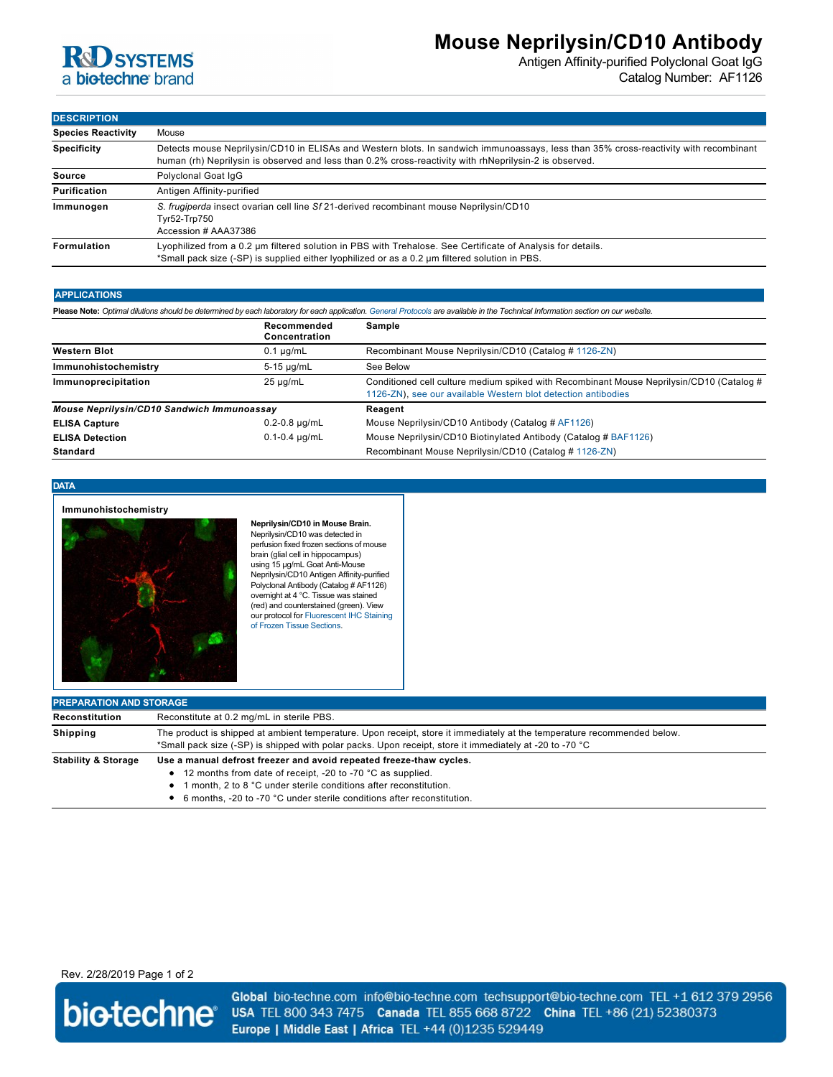

# **Mouse Neprilysin/CD10 Antibody**

Antigen Affinity-purified Polyclonal Goat IgG Catalog Number: AF1126

**DESCRIPTION**

| ווטוד ווטשבע              |                                                                                                                                                                                                                                                |  |  |
|---------------------------|------------------------------------------------------------------------------------------------------------------------------------------------------------------------------------------------------------------------------------------------|--|--|
| <b>Species Reactivity</b> | Mouse                                                                                                                                                                                                                                          |  |  |
| <b>Specificity</b>        | Detects mouse Neprilysin/CD10 in ELISAs and Western blots. In sandwich immunoassays, less than 35% cross-reactivity with recombinant<br>human (rh) Neprilysin is observed and less than 0.2% cross-reactivity with rhNeprilysin-2 is observed. |  |  |
| Source                    | Polyclonal Goat IqG                                                                                                                                                                                                                            |  |  |
| Purification              | Antigen Affinity-purified                                                                                                                                                                                                                      |  |  |
| Immunogen                 | S. frugiperda insect ovarian cell line Sf 21-derived recombinant mouse Neprilysin/CD10<br>Tyr52-Trp750<br>Accession # AAA37386                                                                                                                 |  |  |
| Formulation               | Lyophilized from a 0.2 um filtered solution in PBS with Trehalose. See Certificate of Analysis for details.<br>*Small pack size (-SP) is supplied either lyophilized or as a 0.2 um filtered solution in PBS.                                  |  |  |

# **APPLICATIONS**

| Please Note: Optimal dilutions should be determined by each laboratory for each application. General Protocols are available in the Technical Information section on our website. |                              |                                                                                                                                                           |  |  |
|-----------------------------------------------------------------------------------------------------------------------------------------------------------------------------------|------------------------------|-----------------------------------------------------------------------------------------------------------------------------------------------------------|--|--|
|                                                                                                                                                                                   | Recommended<br>Concentration | Sample                                                                                                                                                    |  |  |
| <b>Western Blot</b>                                                                                                                                                               | $0.1 \mu g/mL$               | Recombinant Mouse Neprilysin/CD10 (Catalog # 1126-ZN)                                                                                                     |  |  |
| Immunohistochemistry                                                                                                                                                              | $5-15$ µg/mL                 | See Below                                                                                                                                                 |  |  |
| Immunoprecipitation                                                                                                                                                               | $25 \mu q/mL$                | Conditioned cell culture medium spiked with Recombinant Mouse Neprilysin/CD10 (Catalog #<br>1126-ZN), see our available Western blot detection antibodies |  |  |
| Mouse Neprilysin/CD10 Sandwich Immunoassay                                                                                                                                        |                              | Reagent                                                                                                                                                   |  |  |
| <b>ELISA Capture</b>                                                                                                                                                              | $0.2 - 0.8$ µg/mL            | Mouse Neprilysin/CD10 Antibody (Catalog # AF1126)                                                                                                         |  |  |
| <b>ELISA Detection</b>                                                                                                                                                            | $0.1 - 0.4$ µg/mL            | Mouse Neprilysin/CD10 Biotinylated Antibody (Catalog # BAF1126)                                                                                           |  |  |
| <b>Standard</b>                                                                                                                                                                   |                              | Recombinant Mouse Neprilysin/CD10 (Catalog # 1126-ZN)                                                                                                     |  |  |

### **DATA**

### **Immunohistochemistry**



**Neprilysin/CD10 in Mouse Brain.** Neprilysin/CD10 was detected in perfusion fixed frozen sections of mouse brain (glial cell in hippocampus) using 15 µg/mL Goat Anti-Mouse Neprilysin/CD10 Antigen Affinity-purified Polyclonal Antibody (Catalog # AF1126) overnight at 4 °C. Tissue was stained (red) and counterstained (green). View [our protocol for Fluorescent IHC Staining](https://www.rndsystems.com/resources/protocols/protocol-preparation-and-fluorescent-ihc-staining-frozen-tissue-sections) of Frozen Tissue Sections.

| <b>PREPARATION AND STORAGE</b> |                                                                                                                                                                                                                                                                                      |  |  |
|--------------------------------|--------------------------------------------------------------------------------------------------------------------------------------------------------------------------------------------------------------------------------------------------------------------------------------|--|--|
| Reconstitution                 | Reconstitute at 0.2 mg/mL in sterile PBS.                                                                                                                                                                                                                                            |  |  |
| Shipping                       | The product is shipped at ambient temperature. Upon receipt, store it immediately at the temperature recommended below.<br>*Small pack size (-SP) is shipped with polar packs. Upon receipt, store it immediately at -20 to -70 °C                                                   |  |  |
| <b>Stability &amp; Storage</b> | Use a manual defrost freezer and avoid repeated freeze-thaw cycles.<br>• 12 months from date of receipt, -20 to -70 °C as supplied.<br>1 month, 2 to 8 °C under sterile conditions after reconstitution.<br>• 6 months, -20 to -70 °C under sterile conditions after reconstitution. |  |  |

# Rev. 2/28/2019 Page 1 of 2



Global bio-techne.com info@bio-techne.com techsupport@bio-techne.com TEL +1 612 379 2956 USA TEL 800 343 7475 Canada TEL 855 668 8722 China TEL +86 (21) 52380373 Europe | Middle East | Africa TEL +44 (0)1235 529449